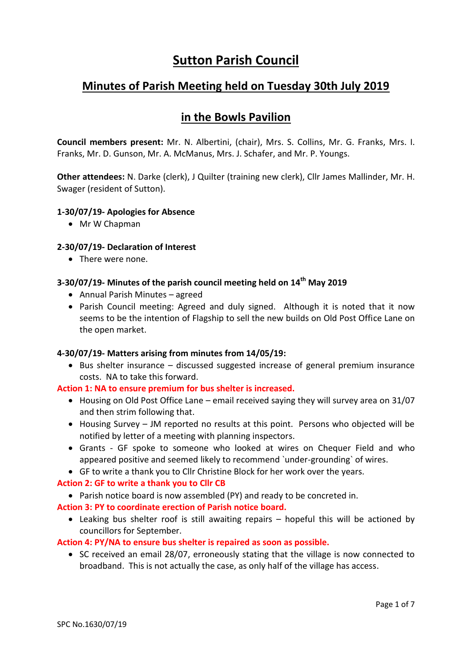# **Sutton Parish Council**

# **Minutes of Parish Meeting held on Tuesday 30th July 2019**

# **in the Bowls Pavilion**

**Council members present:** Mr. N. Albertini, (chair), Mrs. S. Collins, Mr. G. Franks, Mrs. I. Franks, Mr. D. Gunson, Mr. A. McManus, Mrs. J. Schafer, and Mr. P. Youngs.

**Other attendees:** N. Darke (clerk), J Quilter (training new clerk), Cllr James Mallinder, Mr. H. Swager (resident of Sutton).

#### **1-30/07/19- Apologies for Absence**

• Mr W Chapman

#### **2-30/07/19- Declaration of Interest**

• There were none.

#### **3-30/07/19- Minutes of the parish council meeting held on 14th May 2019**

- Annual Parish Minutes agreed
- Parish Council meeting: Agreed and duly signed. Although it is noted that it now seems to be the intention of Flagship to sell the new builds on Old Post Office Lane on the open market.

#### **4-30/07/19- Matters arising from minutes from 14/05/19:**

• Bus shelter insurance – discussed suggested increase of general premium insurance costs. NA to take this forward.

#### **Action 1: NA to ensure premium for bus shelter is increased.**

- Housing on Old Post Office Lane email received saying they will survey area on 31/07 and then strim following that.
- Housing Survey JM reported no results at this point. Persons who objected will be notified by letter of a meeting with planning inspectors.
- Grants GF spoke to someone who looked at wires on Chequer Field and who appeared positive and seemed likely to recommend `under-grounding` of wires.
- GF to write a thank you to Cllr Christine Block for her work over the years.

# **Action 2: GF to write a thank you to Cllr CB**

• Parish notice board is now assembled (PY) and ready to be concreted in.

#### **Action 3: PY to coordinate erection of Parish notice board.**

 Leaking bus shelter roof is still awaiting repairs – hopeful this will be actioned by councillors for September.

#### **Action 4: PY/NA to ensure bus shelter is repaired as soon as possible.**

• SC received an email 28/07, erroneously stating that the village is now connected to broadband. This is not actually the case, as only half of the village has access.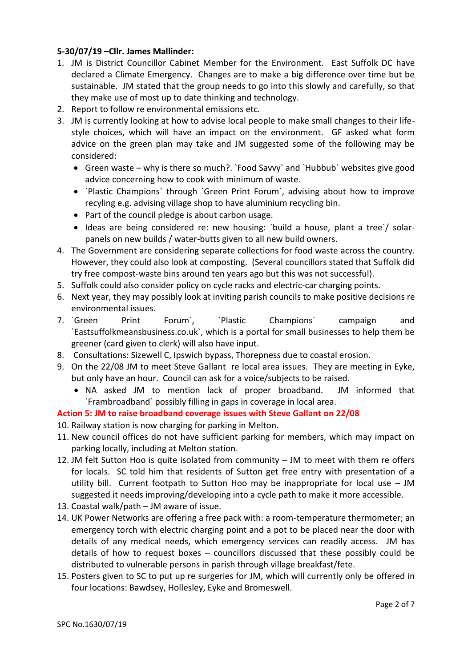### **5-30/07/19 –Cllr. James Mallinder:**

- 1. JM is District Councillor Cabinet Member for the Environment. East Suffolk DC have declared a Climate Emergency. Changes are to make a big difference over time but be sustainable. JM stated that the group needs to go into this slowly and carefully, so that they make use of most up to date thinking and technology.
- 2. Report to follow re environmental emissions etc.
- 3. JM is currently looking at how to advise local people to make small changes to their lifestyle choices, which will have an impact on the environment. GF asked what form advice on the green plan may take and JM suggested some of the following may be considered:
	- Green waste why is there so much?. `Food Savvy` and `Hubbub` websites give good advice concerning how to cook with minimum of waste.
	- `Plastic Champions` through `Green Print Forum`, advising about how to improve recyling e.g. advising village shop to have aluminium recycling bin.
	- Part of the council pledge is about carbon usage.
	- Ideas are being considered re: new housing: `build a house, plant a tree`/ solarpanels on new builds / water-butts given to all new build owners.
- 4. The Government are considering separate collections for food waste across the country. However, they could also look at composting. (Several councillors stated that Suffolk did try free compost-waste bins around ten years ago but this was not successful).
- 5. Suffolk could also consider policy on cycle racks and electric-car charging points.
- 6. Next year, they may possibly look at inviting parish councils to make positive decisions re environmental issues.
- 7. `Green Print Forum`, `Plastic Champions` campaign and `Eastsuffolkmeansbusiness.co.uk`, which is a portal for small businesses to help them be greener (card given to clerk) will also have input.
- 8. Consultations: Sizewell C, Ipswich bypass, Thorepness due to coastal erosion.
- 9. On the 22/08 JM to meet Steve Gallant re local area issues. They are meeting in Eyke, but only have an hour. Council can ask for a voice/subjects to be raised.
	- NA asked JM to mention lack of proper broadband. JM informed that `Frambroadband` possibly filling in gaps in coverage in local area.

#### **Action 5: JM to raise broadband coverage issues with Steve Gallant on 22/08**

- 10. Railway station is now charging for parking in Melton.
- 11. New council offices do not have sufficient parking for members, which may impact on parking locally, including at Melton station.
- 12. JM felt Sutton Hoo is quite isolated from community JM to meet with them re offers for locals. SC told him that residents of Sutton get free entry with presentation of a utility bill. Current footpath to Sutton Hoo may be inappropriate for local use – JM suggested it needs improving/developing into a cycle path to make it more accessible.
- 13. Coastal walk/path JM aware of issue.
- 14. UK Power Networks are offering a free pack with: a room-temperature thermometer; an emergency torch with electric charging point and a pot to be placed near the door with details of any medical needs, which emergency services can readily access. JM has details of how to request boxes – councillors discussed that these possibly could be distributed to vulnerable persons in parish through village breakfast/fete.
- 15. Posters given to SC to put up re surgeries for JM, which will currently only be offered in four locations: Bawdsey, Hollesley, Eyke and Bromeswell.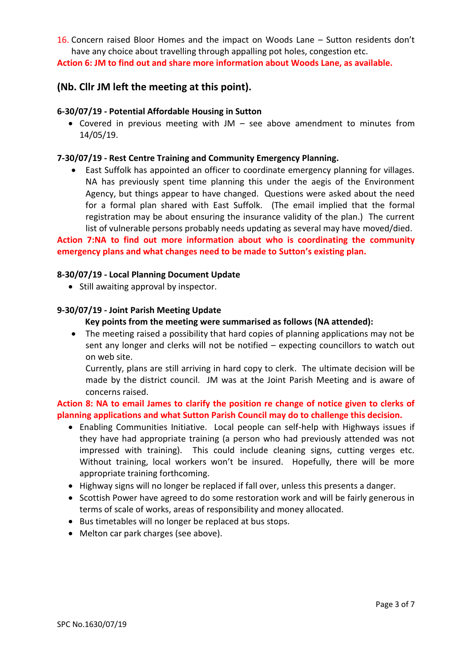16. Concern raised Bloor Homes and the impact on Woods Lane – Sutton residents don't have any choice about travelling through appalling pot holes, congestion etc.

**Action 6: JM to find out and share more information about Woods Lane, as available.**

# **(Nb. Cllr JM left the meeting at this point).**

#### **6-30/07/19 - Potential Affordable Housing in Sutton**

• Covered in previous meeting with  $JM -$  see above amendment to minutes from 14/05/19.

#### **7-30/07/19 - Rest Centre Training and Community Emergency Planning.**

 East Suffolk has appointed an officer to coordinate emergency planning for villages. NA has previously spent time planning this under the aegis of the Environment Agency, but things appear to have changed. Questions were asked about the need for a formal plan shared with East Suffolk. (The email implied that the formal registration may be about ensuring the insurance validity of the plan.) The current list of vulnerable persons probably needs updating as several may have moved/died.

**Action 7:NA to find out more information about who is coordinating the community emergency plans and what changes need to be made to Sutton's existing plan.**

#### **8-30/07/19 - Local Planning Document Update**

• Still awaiting approval by inspector.

#### **9-30/07/19 - Joint Parish Meeting Update**

#### **Key points from the meeting were summarised as follows (NA attended):**

• The meeting raised a possibility that hard copies of planning applications may not be sent any longer and clerks will not be notified – expecting councillors to watch out on web site.

Currently, plans are still arriving in hard copy to clerk. The ultimate decision will be made by the district council. JM was at the Joint Parish Meeting and is aware of concerns raised.

**Action 8: NA to email James to clarify the position re change of notice given to clerks of planning applications and what Sutton Parish Council may do to challenge this decision.**

- Enabling Communities Initiative. Local people can self-help with Highways issues if they have had appropriate training (a person who had previously attended was not impressed with training). This could include cleaning signs, cutting verges etc. Without training, local workers won't be insured. Hopefully, there will be more appropriate training forthcoming.
- Highway signs will no longer be replaced if fall over, unless this presents a danger.
- Scottish Power have agreed to do some restoration work and will be fairly generous in terms of scale of works, areas of responsibility and money allocated.
- Bus timetables will no longer be replaced at bus stops.
- Melton car park charges (see above).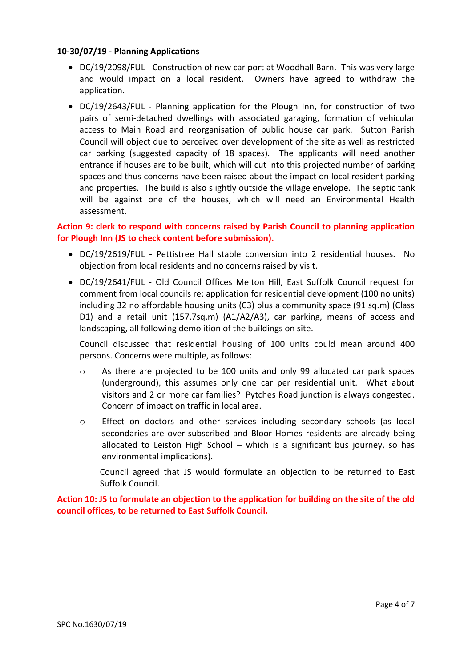#### **10-30/07/19 - Planning Applications**

- DC/19/2098/FUL Construction of new car port at Woodhall Barn. This was very large and would impact on a local resident. Owners have agreed to withdraw the application.
- DC/19/2643/FUL Planning application for the Plough Inn, for construction of two pairs of semi-detached dwellings with associated garaging, formation of vehicular access to Main Road and reorganisation of public house car park. Sutton Parish Council will object due to perceived over development of the site as well as restricted car parking (suggested capacity of 18 spaces). The applicants will need another entrance if houses are to be built, which will cut into this projected number of parking spaces and thus concerns have been raised about the impact on local resident parking and properties. The build is also slightly outside the village envelope. The septic tank will be against one of the houses, which will need an Environmental Health assessment.

### **Action 9: clerk to respond with concerns raised by Parish Council to planning application for Plough Inn (JS to check content before submission).**

- DC/19/2619/FUL Pettistree Hall stable conversion into 2 residential houses. No objection from local residents and no concerns raised by visit.
- DC/19/2641/FUL Old Council Offices Melton Hill, East Suffolk Council request for comment from local councils re: application for residential development (100 no units) including 32 no affordable housing units (C3) plus a community space (91 sq.m) (Class D1) and a retail unit (157.7sq.m) (A1/A2/A3), car parking, means of access and landscaping, all following demolition of the buildings on site.

Council discussed that residential housing of 100 units could mean around 400 persons. Concerns were multiple, as follows:

- o As there are projected to be 100 units and only 99 allocated car park spaces (underground), this assumes only one car per residential unit. What about visitors and 2 or more car families? Pytches Road junction is always congested. Concern of impact on traffic in local area.
- o Effect on doctors and other services including secondary schools (as local secondaries are over-subscribed and Bloor Homes residents are already being allocated to Leiston High School – which is a significant bus journey, so has environmental implications).

Council agreed that JS would formulate an objection to be returned to East Suffolk Council.

#### **Action 10: JS to formulate an objection to the application for building on the site of the old council offices, to be returned to East Suffolk Council.**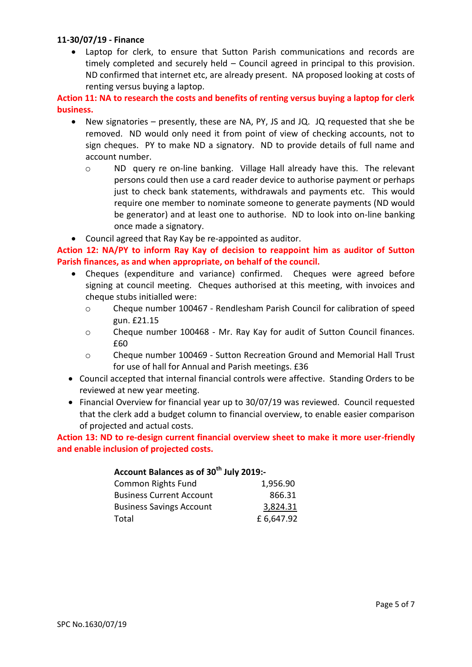#### **11-30/07/19 - Finance**

 Laptop for clerk, to ensure that Sutton Parish communications and records are timely completed and securely held – Council agreed in principal to this provision. ND confirmed that internet etc, are already present. NA proposed looking at costs of renting versus buying a laptop.

**Action 11: NA to research the costs and benefits of renting versus buying a laptop for clerk business.**

- New signatories presently, these are NA, PY, JS and JQ. JQ requested that she be removed. ND would only need it from point of view of checking accounts, not to sign cheques. PY to make ND a signatory. ND to provide details of full name and account number.
	- o ND query re on-line banking. Village Hall already have this. The relevant persons could then use a card reader device to authorise payment or perhaps just to check bank statements, withdrawals and payments etc. This would require one member to nominate someone to generate payments (ND would be generator) and at least one to authorise. ND to look into on-line banking once made a signatory.
- Council agreed that Ray Kay be re-appointed as auditor.

**Action 12: NA/PY to inform Ray Kay of decision to reappoint him as auditor of Sutton Parish finances, as and when appropriate, on behalf of the council.**

- Cheques (expenditure and variance) confirmed. Cheques were agreed before signing at council meeting. Cheques authorised at this meeting, with invoices and cheque stubs initialled were:
	- o Cheque number 100467 Rendlesham Parish Council for calibration of speed gun. £21.15
	- o Cheque number 100468 Mr. Ray Kay for audit of Sutton Council finances. £60
	- o Cheque number 100469 Sutton Recreation Ground and Memorial Hall Trust for use of hall for Annual and Parish meetings. £36
- Council accepted that internal financial controls were affective. Standing Orders to be reviewed at new year meeting.
- Financial Overview for financial year up to 30/07/19 was reviewed. Council requested that the clerk add a budget column to financial overview, to enable easier comparison of projected and actual costs.

**Action 13: ND to re-design current financial overview sheet to make it more user-friendly and enable inclusion of projected costs.**

# **Account Balances as of 30th July 2019:-**

| <b>Common Rights Fund</b>       | 1,956.90   |
|---------------------------------|------------|
| <b>Business Current Account</b> | 866.31     |
| <b>Business Savings Account</b> | 3,824.31   |
| Total                           | £ 6,647.92 |